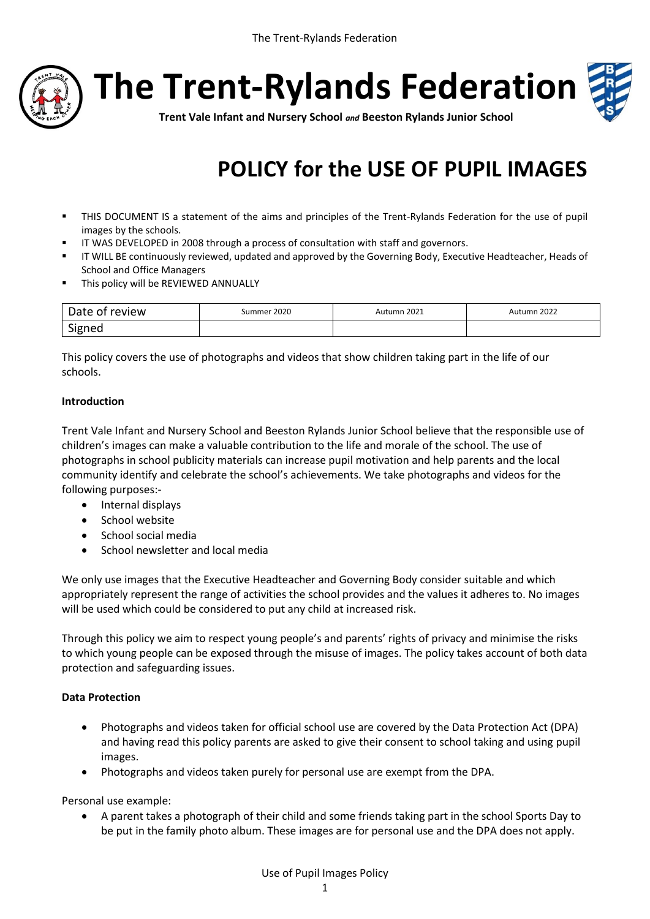

**The Trent-Rylands Federation**



**Trent Vale Infant and Nursery School** *and* **Beeston Rylands Junior School**

# **POLICY for the USE OF PUPIL IMAGES**

- THIS DOCUMENT IS a statement of the aims and principles of the Trent-Rylands Federation for the use of pupil images by the schools.
- **IF WAS DEVELOPED in 2008 through a process of consultation with staff and governors.**
- IT WILL BE continuously reviewed, updated and approved by the Governing Body, Executive Headteacher, Heads of School and Office Managers
- **This policy will be REVIEWED ANNUALLY**

| Date<br>review | Summer 2020 | Autumn 2021 | Autumn 2022 |
|----------------|-------------|-------------|-------------|
| Signed         |             |             |             |

This policy covers the use of photographs and videos that show children taking part in the life of our schools.

### **Introduction**

Trent Vale Infant and Nursery School and Beeston Rylands Junior School believe that the responsible use of children's images can make a valuable contribution to the life and morale of the school. The use of photographs in school publicity materials can increase pupil motivation and help parents and the local community identify and celebrate the school's achievements. We take photographs and videos for the following purposes:-

- Internal displays
- School website
- School social media
- School newsletter and local media

We only use images that the Executive Headteacher and Governing Body consider suitable and which appropriately represent the range of activities the school provides and the values it adheres to. No images will be used which could be considered to put any child at increased risk.

Through this policy we aim to respect young people's and parents' rights of privacy and minimise the risks to which young people can be exposed through the misuse of images. The policy takes account of both data protection and safeguarding issues.

#### **Data Protection**

- Photographs and videos taken for official school use are covered by the Data Protection Act (DPA) and having read this policy parents are asked to give their consent to school taking and using pupil images.
- Photographs and videos taken purely for personal use are exempt from the DPA.

Personal use example:

 A parent takes a photograph of their child and some friends taking part in the school Sports Day to be put in the family photo album. These images are for personal use and the DPA does not apply.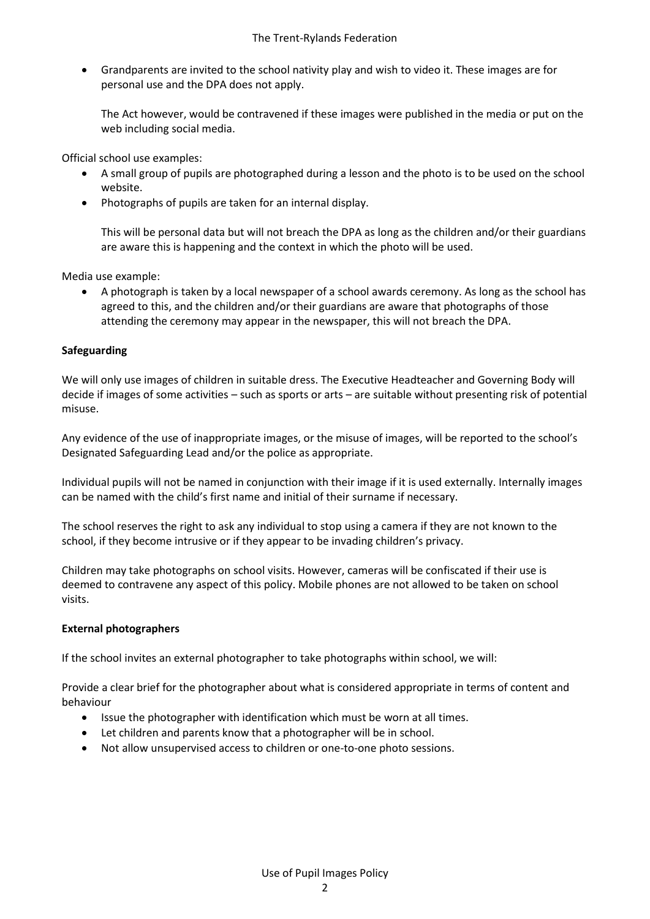Grandparents are invited to the school nativity play and wish to video it. These images are for personal use and the DPA does not apply.

The Act however, would be contravened if these images were published in the media or put on the web including social media.

Official school use examples:

- A small group of pupils are photographed during a lesson and the photo is to be used on the school website.
- Photographs of pupils are taken for an internal display.

This will be personal data but will not breach the DPA as long as the children and/or their guardians are aware this is happening and the context in which the photo will be used.

Media use example:

 A photograph is taken by a local newspaper of a school awards ceremony. As long as the school has agreed to this, and the children and/or their guardians are aware that photographs of those attending the ceremony may appear in the newspaper, this will not breach the DPA.

### **Safeguarding**

We will only use images of children in suitable dress. The Executive Headteacher and Governing Body will decide if images of some activities – such as sports or arts – are suitable without presenting risk of potential misuse.

Any evidence of the use of inappropriate images, or the misuse of images, will be reported to the school's Designated Safeguarding Lead and/or the police as appropriate.

Individual pupils will not be named in conjunction with their image if it is used externally. Internally images can be named with the child's first name and initial of their surname if necessary.

The school reserves the right to ask any individual to stop using a camera if they are not known to the school, if they become intrusive or if they appear to be invading children's privacy.

Children may take photographs on school visits. However, cameras will be confiscated if their use is deemed to contravene any aspect of this policy. Mobile phones are not allowed to be taken on school visits.

#### **External photographers**

If the school invites an external photographer to take photographs within school, we will:

Provide a clear brief for the photographer about what is considered appropriate in terms of content and behaviour

- Issue the photographer with identification which must be worn at all times.
- Let children and parents know that a photographer will be in school.
- Not allow unsupervised access to children or one-to-one photo sessions.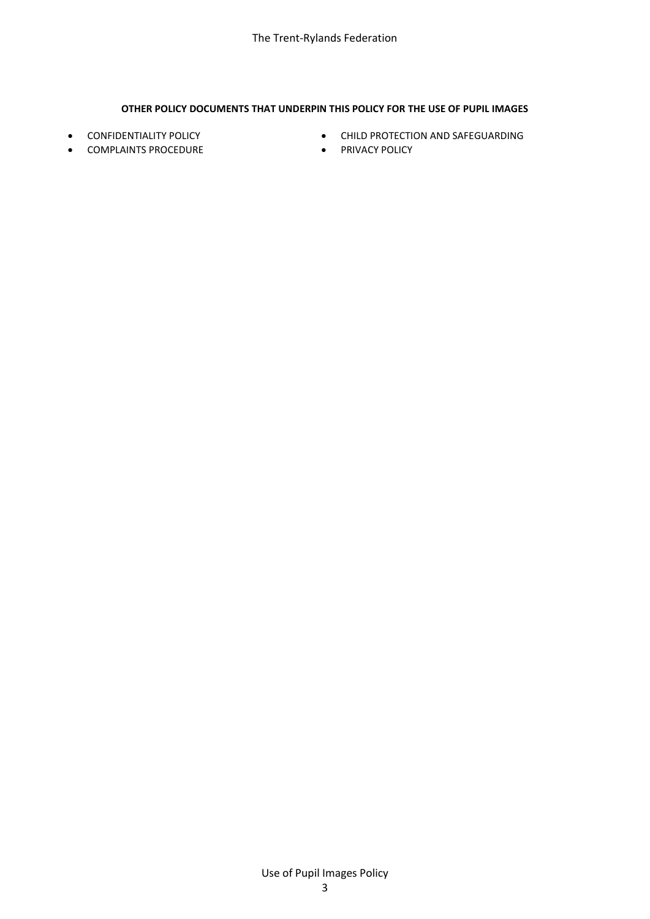#### **OTHER POLICY DOCUMENTS THAT UNDERPIN THIS POLICY FOR THE USE OF PUPIL IMAGES**

- **CONFIDENTIALITY POLICY**
- **COMPLAINTS PROCEDURE**
- **CHILD PROTECTION AND SAFEGUARDING**
- **•** PRIVACY POLICY